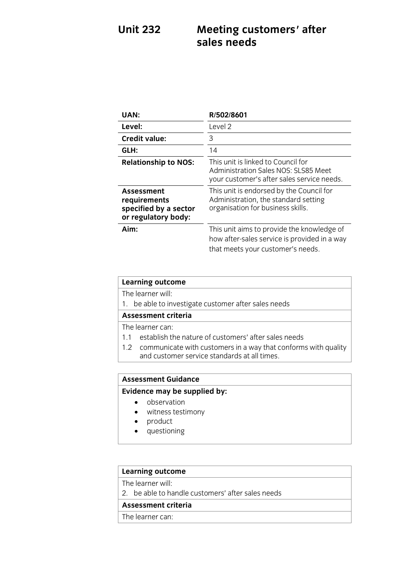# Unit 232 **Meeting customers' after sales needs**

| UAN:                                                                       | R/502/8601                                                                                                                      |
|----------------------------------------------------------------------------|---------------------------------------------------------------------------------------------------------------------------------|
| Level:                                                                     | Level 2                                                                                                                         |
| <b>Credit value:</b>                                                       | 3                                                                                                                               |
| GLH:                                                                       | 14                                                                                                                              |
| <b>Relationship to NOS:</b>                                                | This unit is linked to Council for<br>Administration Sales NOS: SLS85 Meet<br>your customer's after sales service needs.        |
| Assessment<br>requirements<br>specified by a sector<br>or regulatory body: | This unit is endorsed by the Council for<br>Administration, the standard setting<br>organisation for business skills.           |
| Aim:                                                                       | This unit aims to provide the knowledge of<br>how after-sales service is provided in a way<br>that meets your customer's needs. |

### **Learning outcome**<br>The learner will:

1. be able to investigate customer after sales needs

#### Assessment criteria

The learner can:

- 1.1 establish the nature of customers' after sales needs
- 1.2 communicate with customers in a way that conforms with quality and customer service standards at all times. and customer service standards at all times.

## **Assessment Guidance**

- **Evidence** may be supplied by:<br> **Evidence** may be supplied by:
	- witness testimony
	- product
	- questioning

### **Learning outcome**<br>The learner will:

2. be able to handle customers' after sales needs

#### Assessment criteria

The learner can: <u>The learner</u> can